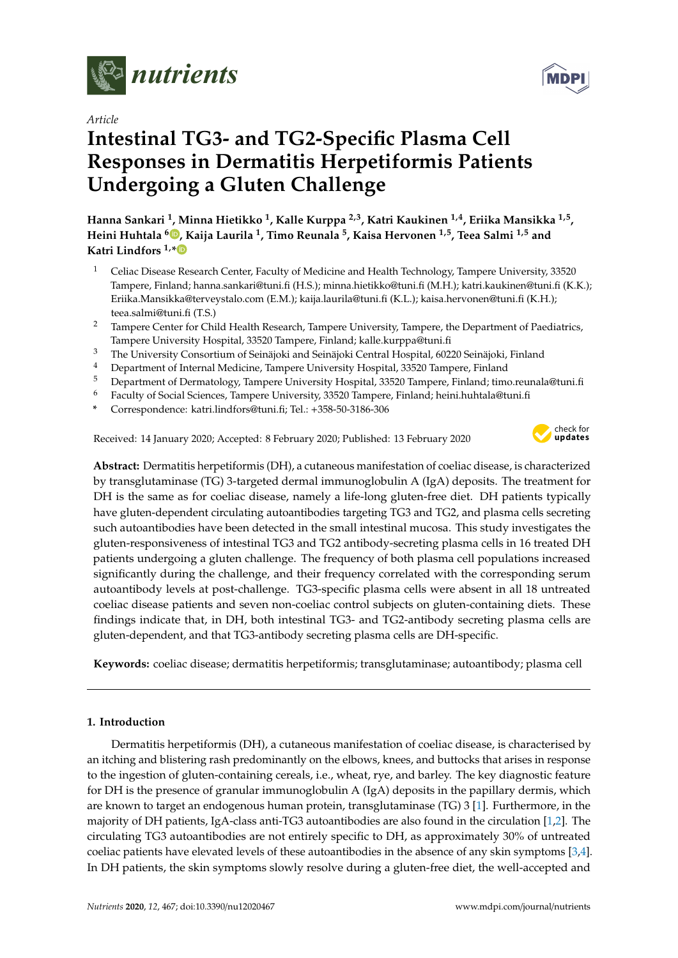

*Article*

# **Intestinal TG3- and TG2-Specific Plasma Cell Responses in Dermatitis Herpetiformis Patients Undergoing a Gluten Challenge**

**Hanna Sankari <sup>1</sup> , Minna Hietikko <sup>1</sup> , Kalle Kurppa 2,3, Katri Kaukinen 1,4, Eriika Mansikka 1,5 , Heini Huhtala <sup>6</sup> [,](https://orcid.org/0000-0003-1372-430X) Kaija Laurila <sup>1</sup> , Timo Reunala <sup>5</sup> , Kaisa Hervonen 1,5, Teea Salmi 1,5 and Katri Lindfors 1,[\\*](https://orcid.org/0000-0001-7417-5151)**

- <sup>1</sup> Celiac Disease Research Center, Faculty of Medicine and Health Technology, Tampere University, 33520 Tampere, Finland; hanna.sankari@tuni.fi (H.S.); minna.hietikko@tuni.fi (M.H.); katri.kaukinen@tuni.fi (K.K.); Eriika.Mansikka@terveystalo.com (E.M.); kaija.laurila@tuni.fi (K.L.); kaisa.hervonen@tuni.fi (K.H.); teea.salmi@tuni.fi (T.S.)
- <sup>2</sup> Tampere Center for Child Health Research, Tampere University, Tampere, the Department of Paediatrics, Tampere University Hospital, 33520 Tampere, Finland; kalle.kurppa@tuni.fi
- <sup>3</sup> The University Consortium of Seinäjoki and Seinäjoki Central Hospital, 60220 Seinäjoki, Finland
- <sup>4</sup> Department of Internal Medicine, Tampere University Hospital, 33520 Tampere, Finland<br><sup>5</sup> Department of Dermateleou: Tampere University Hospital, 33520 Tampere, Finland, time
- <sup>5</sup> Department of Dermatology, Tampere University Hospital, 33520 Tampere, Finland; timo.reunala@tuni.fi
- <sup>6</sup> Faculty of Social Sciences, Tampere University, 33520 Tampere, Finland; heini.huhtala@tuni.fi
- **\*** Correspondence: katri.lindfors@tuni.fi; Tel.: +358-50-3186-306

Received: 14 January 2020; Accepted: 8 February 2020; Published: 13 February 2020



**Abstract:** Dermatitis herpetiformis (DH), a cutaneous manifestation of coeliac disease, is characterized by transglutaminase (TG) 3-targeted dermal immunoglobulin A (IgA) deposits. The treatment for DH is the same as for coeliac disease, namely a life-long gluten-free diet. DH patients typically have gluten-dependent circulating autoantibodies targeting TG3 and TG2, and plasma cells secreting such autoantibodies have been detected in the small intestinal mucosa. This study investigates the gluten-responsiveness of intestinal TG3 and TG2 antibody-secreting plasma cells in 16 treated DH patients undergoing a gluten challenge. The frequency of both plasma cell populations increased significantly during the challenge, and their frequency correlated with the corresponding serum autoantibody levels at post-challenge. TG3-specific plasma cells were absent in all 18 untreated coeliac disease patients and seven non-coeliac control subjects on gluten-containing diets. These findings indicate that, in DH, both intestinal TG3- and TG2-antibody secreting plasma cells are gluten-dependent, and that TG3-antibody secreting plasma cells are DH-specific.

**Keywords:** coeliac disease; dermatitis herpetiformis; transglutaminase; autoantibody; plasma cell

# **1. Introduction**

Dermatitis herpetiformis (DH), a cutaneous manifestation of coeliac disease, is characterised by an itching and blistering rash predominantly on the elbows, knees, and buttocks that arises in response to the ingestion of gluten-containing cereals, i.e., wheat, rye, and barley. The key diagnostic feature for DH is the presence of granular immunoglobulin A (IgA) deposits in the papillary dermis, which are known to target an endogenous human protein, transglutaminase (TG) 3 [\[1\]](#page-7-0). Furthermore, in the majority of DH patients, IgA-class anti-TG3 autoantibodies are also found in the circulation [\[1,](#page-7-0)[2\]](#page-7-1). The circulating TG3 autoantibodies are not entirely specific to DH, as approximately 30% of untreated coeliac patients have elevated levels of these autoantibodies in the absence of any skin symptoms [\[3](#page-8-0)[,4\]](#page-8-1). In DH patients, the skin symptoms slowly resolve during a gluten-free diet, the well-accepted and

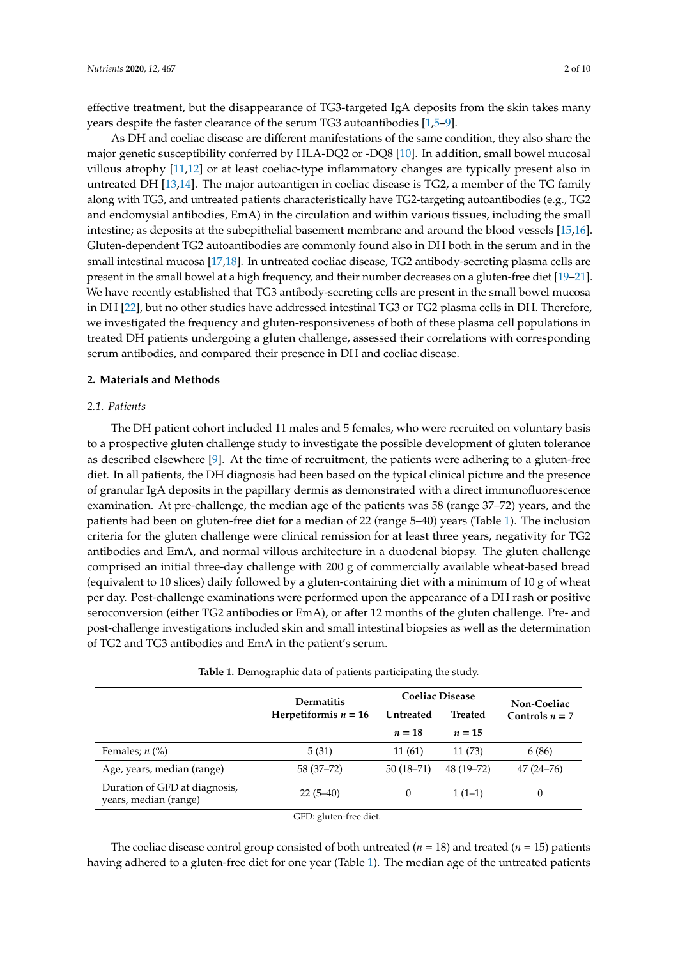effective treatment, but the disappearance of TG3-targeted IgA deposits from the skin takes many years despite the faster clearance of the serum TG3 autoantibodies [\[1,](#page-7-0)[5](#page-8-2)[–9\]](#page-8-3).

As DH and coeliac disease are different manifestations of the same condition, they also share the major genetic susceptibility conferred by HLA-DQ2 or -DQ8 [\[10\]](#page-8-4). In addition, small bowel mucosal villous atrophy [\[11](#page-8-5)[,12\]](#page-8-6) or at least coeliac-type inflammatory changes are typically present also in untreated DH [\[13,](#page-8-7)[14\]](#page-8-8). The major autoantigen in coeliac disease is TG2, a member of the TG family along with TG3, and untreated patients characteristically have TG2-targeting autoantibodies (e.g., TG2 and endomysial antibodies, EmA) in the circulation and within various tissues, including the small intestine; as deposits at the subepithelial basement membrane and around the blood vessels [\[15,](#page-8-9)[16\]](#page-8-10). Gluten-dependent TG2 autoantibodies are commonly found also in DH both in the serum and in the small intestinal mucosa [\[17,](#page-8-11)[18\]](#page-8-12). In untreated coeliac disease, TG2 antibody-secreting plasma cells are present in the small bowel at a high frequency, and their number decreases on a gluten-free diet [\[19–](#page-8-13)[21\]](#page-8-14). We have recently established that TG3 antibody-secreting cells are present in the small bowel mucosa in DH [\[22\]](#page-9-0), but no other studies have addressed intestinal TG3 or TG2 plasma cells in DH. Therefore, we investigated the frequency and gluten-responsiveness of both of these plasma cell populations in treated DH patients undergoing a gluten challenge, assessed their correlations with corresponding serum antibodies, and compared their presence in DH and coeliac disease.

## **2. Materials and Methods**

## *2.1. Patients*

The DH patient cohort included 11 males and 5 females, who were recruited on voluntary basis to a prospective gluten challenge study to investigate the possible development of gluten tolerance as described elsewhere [\[9\]](#page-8-3). At the time of recruitment, the patients were adhering to a gluten-free diet. In all patients, the DH diagnosis had been based on the typical clinical picture and the presence of granular IgA deposits in the papillary dermis as demonstrated with a direct immunofluorescence examination. At pre-challenge, the median age of the patients was 58 (range 37–72) years, and the patients had been on gluten-free diet for a median of 22 (range 5–40) years (Table [1\)](#page-1-0). The inclusion criteria for the gluten challenge were clinical remission for at least three years, negativity for TG2 antibodies and EmA, and normal villous architecture in a duodenal biopsy. The gluten challenge comprised an initial three-day challenge with 200 g of commercially available wheat-based bread (equivalent to 10 slices) daily followed by a gluten-containing diet with a minimum of 10 g of wheat per day. Post-challenge examinations were performed upon the appearance of a DH rash or positive seroconversion (either TG2 antibodies or EmA), or after 12 months of the gluten challenge. Pre- and post-challenge investigations included skin and small intestinal biopsies as well as the determination of TG2 and TG3 antibodies and EmA in the patient's serum.

<span id="page-1-0"></span>

|                                                        | <b>Dermatitis</b>      | <b>Coeliac Disease</b> |              | <b>Non-Coeliac</b> |  |  |
|--------------------------------------------------------|------------------------|------------------------|--------------|--------------------|--|--|
|                                                        | Herpetiformis $n = 16$ | Untreated              | Treated      | Controls $n = 7$   |  |  |
|                                                        |                        | $n=18$                 | $n=15$       |                    |  |  |
| Females; $n$ $\left(\frac{9}{6}\right)$                | 5(31)                  | 11(61)                 | 11(73)       | 6(86)              |  |  |
| Age, years, median (range)                             | 58 (37–72)             | $50(18-71)$            | 48 (19 - 72) | $47(24 - 76)$      |  |  |
| Duration of GFD at diagnosis,<br>years, median (range) | $22(5-40)$             | 0                      | $1(1-1)$     | 0                  |  |  |

**Table 1.** Demographic data of patients participating the study.

GFD: gluten-free diet.

The coeliac disease control group consisted of both untreated (*n* = 18) and treated (*n* = 15) patients having adhered to a gluten-free diet for one year (Table [1\)](#page-1-0). The median age of the untreated patients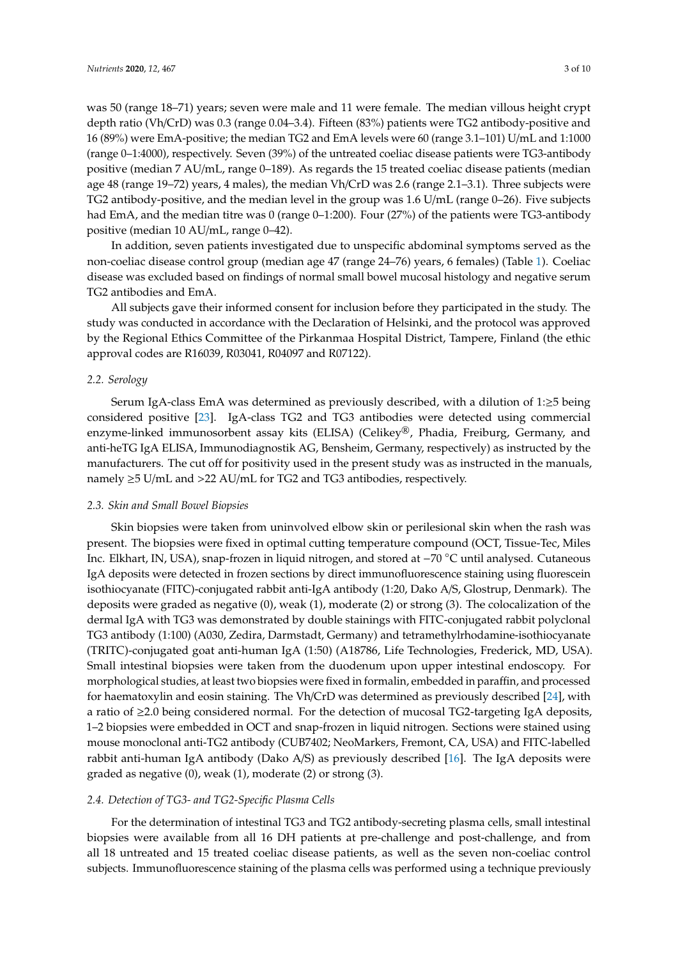was 50 (range 18–71) years; seven were male and 11 were female. The median villous height crypt depth ratio (Vh/CrD) was 0.3 (range 0.04–3.4). Fifteen (83%) patients were TG2 antibody-positive and 16 (89%) were EmA-positive; the median TG2 and EmA levels were 60 (range 3.1–101) U/mL and 1:1000 (range 0–1:4000), respectively. Seven (39%) of the untreated coeliac disease patients were TG3-antibody positive (median 7 AU/mL, range 0–189). As regards the 15 treated coeliac disease patients (median age 48 (range 19–72) years, 4 males), the median Vh/CrD was 2.6 (range 2.1–3.1). Three subjects were TG2 antibody-positive, and the median level in the group was 1.6 U/mL (range 0–26). Five subjects had EmA, and the median titre was 0 (range 0-1:200). Four (27%) of the patients were TG3-antibody positive (median 10 AU/mL, range 0–42).

In addition, seven patients investigated due to unspecific abdominal symptoms served as the non-coeliac disease control group (median age 47 (range 24–76) years, 6 females) (Table [1\)](#page-1-0). Coeliac disease was excluded based on findings of normal small bowel mucosal histology and negative serum TG2 antibodies and EmA.

All subjects gave their informed consent for inclusion before they participated in the study. The study was conducted in accordance with the Declaration of Helsinki, and the protocol was approved by the Regional Ethics Committee of the Pirkanmaa Hospital District, Tampere, Finland (the ethic approval codes are R16039, R03041, R04097 and R07122).

## *2.2. Serology*

Serum IgA-class EmA was determined as previously described, with a dilution of 1:≥5 being considered positive [\[23\]](#page-9-1). IgA-class TG2 and TG3 antibodies were detected using commercial enzyme-linked immunosorbent assay kits (ELISA) (Celikey<sup>®</sup>, Phadia, Freiburg, Germany, and anti-heTG IgA ELISA, Immunodiagnostik AG, Bensheim, Germany, respectively) as instructed by the manufacturers. The cut off for positivity used in the present study was as instructed in the manuals, namely ≥5 U/mL and >22 AU/mL for TG2 and TG3 antibodies, respectively.

#### *2.3. Skin and Small Bowel Biopsies*

Skin biopsies were taken from uninvolved elbow skin or perilesional skin when the rash was present. The biopsies were fixed in optimal cutting temperature compound (OCT, Tissue-Tec, Miles Inc. Elkhart, IN, USA), snap-frozen in liquid nitrogen, and stored at −<sup>70</sup> ◦C until analysed. Cutaneous IgA deposits were detected in frozen sections by direct immunofluorescence staining using fluorescein isothiocyanate (FITC)-conjugated rabbit anti-IgA antibody (1:20, Dako A/S, Glostrup, Denmark). The deposits were graded as negative (0), weak (1), moderate (2) or strong (3). The colocalization of the dermal IgA with TG3 was demonstrated by double stainings with FITC-conjugated rabbit polyclonal TG3 antibody (1:100) (A030, Zedira, Darmstadt, Germany) and tetramethylrhodamine-isothiocyanate (TRITC)-conjugated goat anti-human IgA (1:50) (A18786, Life Technologies, Frederick, MD, USA). Small intestinal biopsies were taken from the duodenum upon upper intestinal endoscopy. For morphological studies, at least two biopsies were fixed in formalin, embedded in paraffin, and processed for haematoxylin and eosin staining. The Vh/CrD was determined as previously described [\[24\]](#page-9-2), with a ratio of ≥2.0 being considered normal. For the detection of mucosal TG2-targeting IgA deposits, 1–2 biopsies were embedded in OCT and snap-frozen in liquid nitrogen. Sections were stained using mouse monoclonal anti-TG2 antibody (CUB7402; NeoMarkers, Fremont, CA, USA) and FITC-labelled rabbit anti-human IgA antibody (Dako A/S) as previously described [\[16\]](#page-8-10). The IgA deposits were graded as negative (0), weak (1), moderate (2) or strong (3).

#### *2.4. Detection of TG3- and TG2-Specific Plasma Cells*

For the determination of intestinal TG3 and TG2 antibody-secreting plasma cells, small intestinal biopsies were available from all 16 DH patients at pre-challenge and post-challenge, and from all 18 untreated and 15 treated coeliac disease patients, as well as the seven non-coeliac control subjects. Immunofluorescence staining of the plasma cells was performed using a technique previously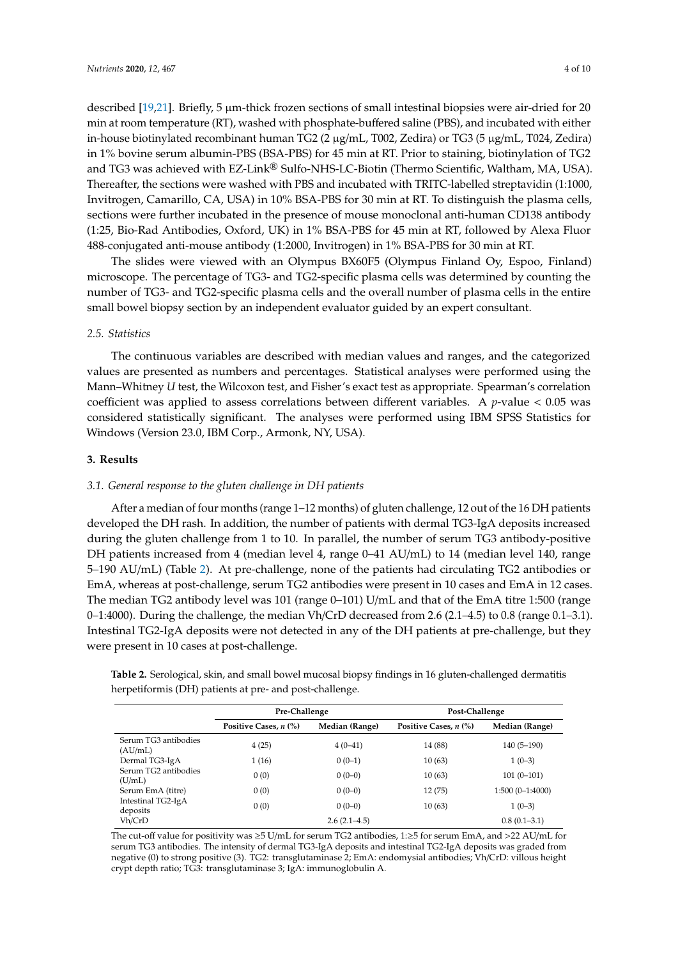described [\[19,](#page-8-13)[21\]](#page-8-14). Briefly, 5  $\mu$ m-thick frozen sections of small intestinal biopsies were air-dried for 20 min at room temperature (RT), washed with phosphate-buffered saline (PBS), and incubated with either in-house biotinylated recombinant human TG2 (2 µg/mL, T002, Zedira) or TG3 (5 µg/mL, T024, Zedira) in 1% bovine serum albumin-PBS (BSA-PBS) for 45 min at RT. Prior to staining, biotinylation of TG2 and TG3 was achieved with EZ-Link® Sulfo-NHS-LC-Biotin (Thermo Scientific, Waltham, MA, USA). Thereafter, the sections were washed with PBS and incubated with TRITC-labelled streptavidin (1:1000, Invitrogen, Camarillo, CA, USA) in 10% BSA-PBS for 30 min at RT. To distinguish the plasma cells, sections were further incubated in the presence of mouse monoclonal anti-human CD138 antibody (1:25, Bio-Rad Antibodies, Oxford, UK) in 1% BSA-PBS for 45 min at RT, followed by Alexa Fluor 488-conjugated anti-mouse antibody (1:2000, Invitrogen) in 1% BSA-PBS for 30 min at RT.

The slides were viewed with an Olympus BX60F5 (Olympus Finland Oy, Espoo, Finland) microscope. The percentage of TG3- and TG2-specific plasma cells was determined by counting the number of TG3- and TG2-specific plasma cells and the overall number of plasma cells in the entire small bowel biopsy section by an independent evaluator guided by an expert consultant.

# *2.5. Statistics*

The continuous variables are described with median values and ranges, and the categorized values are presented as numbers and percentages. Statistical analyses were performed using the Mann–Whitney *U* test, the Wilcoxon test, and Fisher's exact test as appropriate. Spearman's correlation coefficient was applied to assess correlations between different variables. A *p*-value < 0.05 was considered statistically significant. The analyses were performed using IBM SPSS Statistics for Windows (Version 23.0, IBM Corp., Armonk, NY, USA).

#### **3. Results**

### *3.1. General response to the gluten challenge in DH patients*

After a median of four months (range 1–12 months) of gluten challenge, 12 out of the 16 DH patients developed the DH rash. In addition, the number of patients with dermal TG3-IgA deposits increased during the gluten challenge from 1 to 10. In parallel, the number of serum TG3 antibody-positive DH patients increased from 4 (median level 4, range 0–41 AU/mL) to 14 (median level 140, range 5–190 AU/mL) (Table [2\)](#page-3-0). At pre-challenge, none of the patients had circulating TG2 antibodies or EmA, whereas at post-challenge, serum TG2 antibodies were present in 10 cases and EmA in 12 cases. The median TG2 antibody level was 101 (range 0–101) U/mL and that of the EmA titre 1:500 (range 0–1:4000). During the challenge, the median Vh/CrD decreased from 2.6 (2.1–4.5) to 0.8 (range 0.1–3.1). Intestinal TG2-IgA deposits were not detected in any of the DH patients at pre-challenge, but they were present in 10 cases at post-challenge.

<span id="page-3-0"></span>**Table 2.** Serological, skin, and small bowel mucosal biopsy findings in 16 gluten-challenged dermatitis herpetiformis (DH) patients at pre- and post-challenge.

|                                 | Pre-Challenge                          |                | Post-Challenge                         |                   |  |
|---------------------------------|----------------------------------------|----------------|----------------------------------------|-------------------|--|
|                                 | Positive Cases, $n$ $\left(\% \right)$ | Median (Range) | Positive Cases, $n$ $\left(\% \right)$ | Median (Range)    |  |
| Serum TG3 antibodies<br>(AU/mL) | 4(25)                                  | $4(0-41)$      | 14 (88)                                | $140(5-190)$      |  |
| Dermal TG3-IgA                  | 1(16)                                  | $0(0-1)$       | 10(63)                                 | $1(0-3)$          |  |
| Serum TG2 antibodies<br>(U/mL)  | 0(0)                                   | $0(0-0)$       | 10(63)                                 | $101(0-101)$      |  |
| Serum EmA (titre)               | 0(0)                                   | $0(0-0)$       | 12(75)                                 | $1:500(0-1:4000)$ |  |
| Intestinal TG2-IgA<br>deposits  | 0(0)                                   | $0(0-0)$       | 10(63)                                 | $1(0-3)$          |  |
| Vh/CrD                          |                                        | $2.6(2.1-4.5)$ |                                        | $0.8(0.1-3.1)$    |  |

The cut-off value for positivity was ≥5 U/mL for serum TG2 antibodies, 1:≥5 for serum EmA, and >22 AU/mL for serum TG3 antibodies. The intensity of dermal TG3-IgA deposits and intestinal TG2-IgA deposits was graded from negative (0) to strong positive (3). TG2: transglutaminase 2; EmA: endomysial antibodies; Vh/CrD: villous height crypt depth ratio; TG3: transglutaminase 3; IgA: immunoglobulin A.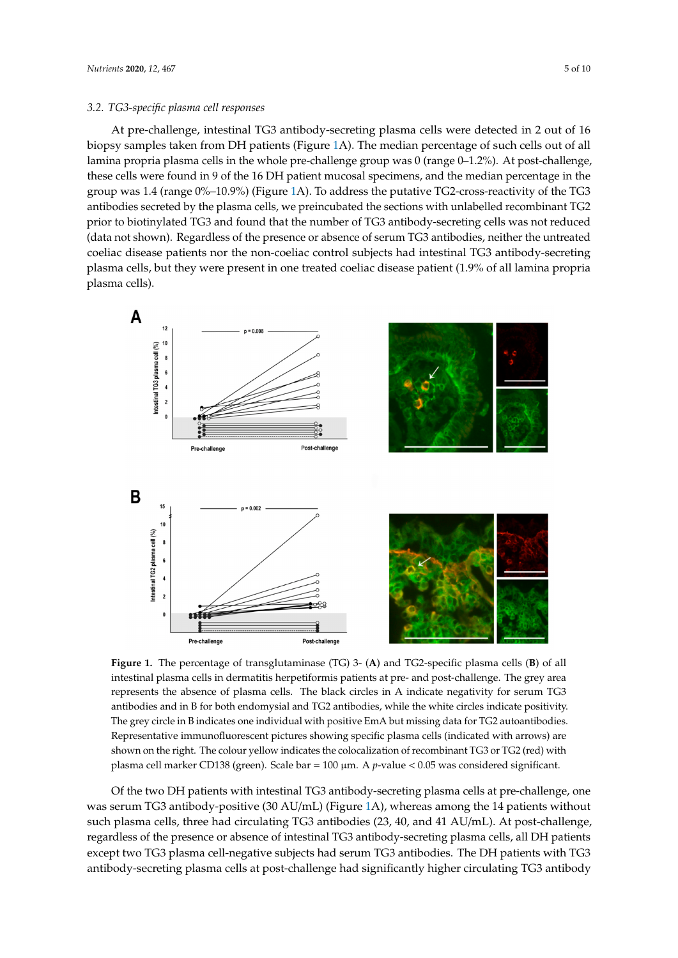#### *3.2. TG3-specific plasma cell responses*

At pre-challenge, intestinal TG3 antibody-secreting plasma cells were detected in 2 out of 16 biopsy samples taken from DH patients (Figure [1A](#page-4-0)). The median percentage of such cells out of all lamina propria plasma cells in the whole pre-challenge group was 0 (range 0–1.2%). At post-challenge, lamina propria plasma cells in the whole pre-challenge group was 0 (range 0–1.2%). At postthese cells were found in 9 of the 16 DH patient mucosal specimens, and the median percentage in the group was 1.4 (ran[ge](#page-4-0) 0%–10.9%) (Figure 1A). To address the putative TG2-cross-reactivity of the TG3 antibodies secreted by the plasma cells, we preincubated the sections with unlabelled recombinant TG2 prior to biotinylated TG3 and found that the number of TG3 antibody-secreting cells was not reduced (data not shown). Regardless of the presence or absence of serum TG3 antibodies, neither the untreated coeliac disease patients nor the non-coeliac control subjects had intestinal TG3 antibody-secreting plasma cells, but they were present in one treated coeliac disease patient (1.9% of all lamina propria plasma cells).

<span id="page-4-0"></span>

represents the absence of plasma cells. The black circles in A indicate negativity for serum TG3 intestinal plasma cells in dermatitis herpetiformis patients at pre- and post-challenge. The grey area antibodies and in B for both endomysial and TG2 antibodies, while the white circles indicate positivity. The grey circle in B indicates one individual with positive EmA but missing data for TG2 autoantibodies.<br>P Representative immunofluorescent pictures showing specific plasma cells (indicated with arrows) are<br>. shown on the right. The colour yellow indicates the colocalization of recombinant TG3 or TG2 (red) with  $\frac{1}{100}$ plasma cell marker CD138 (green). Scale bar = 100 µm. A *p*-value < 0.05 was considered significant. **Figure 1.** The percentage of transglutaminase (TG) 3- (**A**) and TG2-specific plasma cells (**B**) of all intestinal plasma cells in dermatitis herpetiformis patients at pre- and post-challenge. The grey area

Of the two DH patients with intestinal TG3 antibody-secreting plasma cells at pre-challenge, one was serum TG3 antibody-positive (30 AU/mL) (Figure [1A](#page-4-0)), whereas among the 14 patients without such plasma cells, three had circulating TG3 antibodies (23, 40, and 41 AU/mL). At post-challenge, regardless of the presence or absence of intestinal TG3 antibody-secreting plasma cells, all DH patients<br> $T_{\text{G3}}$ was served to the main term to describe the series and the 14 patients with the 14 patients with 14 patients without the 14 patients without 14 patients with 14 patients with 14 patients with 14 patients with 14 patients w antibody-secreting plasma cells at post-challenge had significantly higher circulating TG3 antibody except two TG3 plasma cell-negative subjects had serum TG3 antibodies. The DH patients with TG3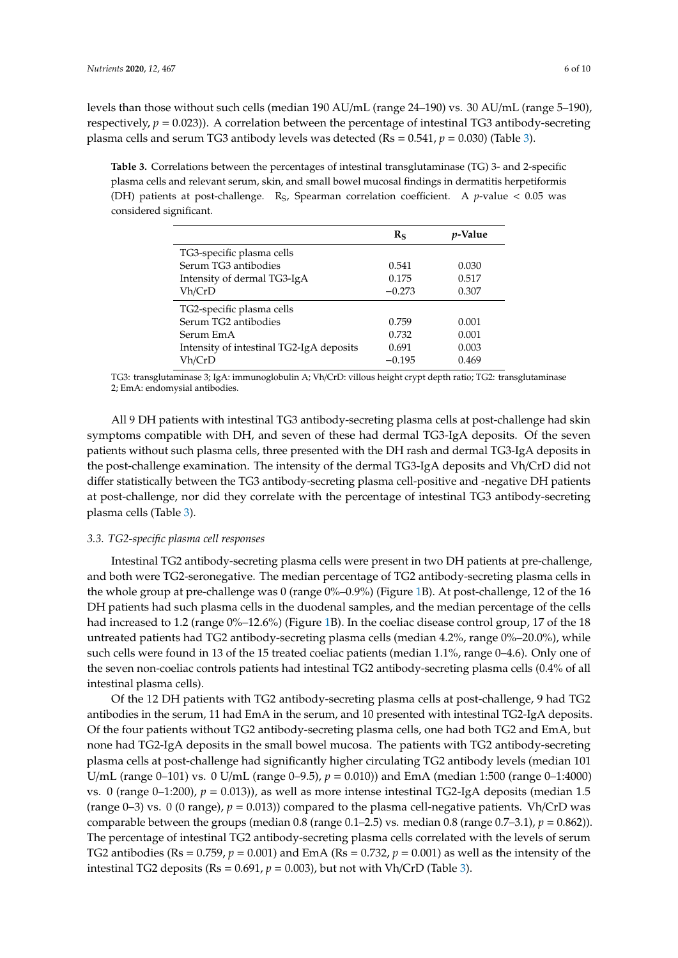levels than those without such cells (median 190 AU/mL (range 24–190) vs. 30 AU/mL (range 5–190), respectively,  $p = 0.023$ ). A correlation between the percentage of intestinal TG3 antibody-secreting plasma cells and serum TG3 antibody levels was detected (Rs = 0.541, *p* = 0.030) (Table [3\)](#page-5-0).

<span id="page-5-0"></span>**Table 3.** Correlations between the percentages of intestinal transglutaminase (TG) 3- and 2-specific plasma cells and relevant serum, skin, and small bowel mucosal findings in dermatitis herpetiformis (DH) patients at post-challenge.  $R<sub>S</sub>$ , Spearman correlation coefficient. A *p*-value < 0.05 was considered significant.

|                                          | $R_S$    | <i>p</i> -Value |
|------------------------------------------|----------|-----------------|
| TG3-specific plasma cells                |          |                 |
| Serum TG3 antibodies                     | 0.541    | 0.030           |
| Intensity of dermal TG3-IgA              | 0.175    | 0.517           |
| Vh/CrD                                   | $-0.273$ | 0.307           |
| TG2-specific plasma cells                |          |                 |
| Serum TG2 antibodies                     | 0.759    | 0.001           |
| Serum EmA                                | 0.732    | 0.001           |
| Intensity of intestinal TG2-IgA deposits | 0.691    | 0.003           |
| Vh/CrD                                   | $-0.195$ | 0.469           |

TG3: transglutaminase 3; IgA: immunoglobulin A; Vh/CrD: villous height crypt depth ratio; TG2: transglutaminase 2; EmA: endomysial antibodies.

All 9 DH patients with intestinal TG3 antibody-secreting plasma cells at post-challenge had skin symptoms compatible with DH, and seven of these had dermal TG3-IgA deposits. Of the seven patients without such plasma cells, three presented with the DH rash and dermal TG3-IgA deposits in the post-challenge examination. The intensity of the dermal TG3-IgA deposits and Vh/CrD did not differ statistically between the TG3 antibody-secreting plasma cell-positive and -negative DH patients at post-challenge, nor did they correlate with the percentage of intestinal TG3 antibody-secreting plasma cells (Table [3\)](#page-5-0).

#### *3.3. TG2-specific plasma cell responses*

Intestinal TG2 antibody-secreting plasma cells were present in two DH patients at pre-challenge, and both were TG2-seronegative. The median percentage of TG2 antibody-secreting plasma cells in the whole group at pre-challenge was 0 (range 0%–0.9%) (Figure [1B](#page-4-0)). At post-challenge, 12 of the 16 DH patients had such plasma cells in the duodenal samples, and the median percentage of the cells had increased to 1.2 (range 0%–12.6%) (Figure [1B](#page-4-0)). In the coeliac disease control group, 17 of the 18 untreated patients had TG2 antibody-secreting plasma cells (median 4.2%, range 0%–20.0%), while such cells were found in 13 of the 15 treated coeliac patients (median 1.1%, range 0–4.6). Only one of the seven non-coeliac controls patients had intestinal TG2 antibody-secreting plasma cells (0.4% of all intestinal plasma cells).

Of the 12 DH patients with TG2 antibody-secreting plasma cells at post-challenge, 9 had TG2 antibodies in the serum, 11 had EmA in the serum, and 10 presented with intestinal TG2-IgA deposits. Of the four patients without TG2 antibody-secreting plasma cells, one had both TG2 and EmA, but none had TG2-IgA deposits in the small bowel mucosa. The patients with TG2 antibody-secreting plasma cells at post-challenge had significantly higher circulating TG2 antibody levels (median 101 U/mL (range 0–101) vs. 0 U/mL (range 0–9.5), *p* = 0.010)) and EmA (median 1:500 (range 0–1:4000) vs. 0 (range 0–1:200),  $p = 0.013$ )), as well as more intense intestinal TG2-IgA deposits (median 1.5 (range 0–3) vs. 0 (0 range),  $p = 0.013$ ) compared to the plasma cell-negative patients. Vh/CrD was comparable between the groups (median 0.8 (range 0.1–2.5) vs. median 0.8 (range 0.7–3.1),  $p = 0.862$ )). The percentage of intestinal TG2 antibody-secreting plasma cells correlated with the levels of serum TG2 antibodies (Rs =  $0.759$ ,  $p = 0.001$ ) and EmA (Rs =  $0.732$ ,  $p = 0.001$ ) as well as the intensity of the intestinal TG2 deposits ( $Rs = 0.691$ ,  $p = 0.003$ ), but not with Vh/CrD (Table [3\)](#page-5-0).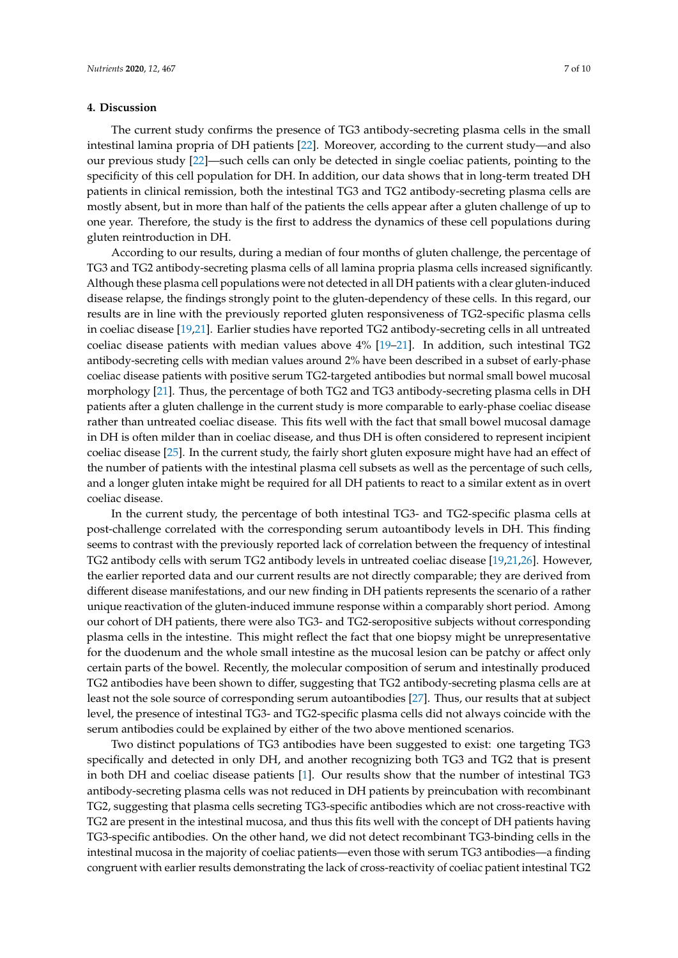#### **4. Discussion**

The current study confirms the presence of TG3 antibody-secreting plasma cells in the small intestinal lamina propria of DH patients [\[22\]](#page-9-0). Moreover, according to the current study—and also our previous study [\[22\]](#page-9-0)—such cells can only be detected in single coeliac patients, pointing to the specificity of this cell population for DH. In addition, our data shows that in long-term treated DH patients in clinical remission, both the intestinal TG3 and TG2 antibody-secreting plasma cells are mostly absent, but in more than half of the patients the cells appear after a gluten challenge of up to one year. Therefore, the study is the first to address the dynamics of these cell populations during gluten reintroduction in DH.

According to our results, during a median of four months of gluten challenge, the percentage of TG3 and TG2 antibody-secreting plasma cells of all lamina propria plasma cells increased significantly. Although these plasma cell populations were not detected in all DH patients with a clear gluten-induced disease relapse, the findings strongly point to the gluten-dependency of these cells. In this regard, our results are in line with the previously reported gluten responsiveness of TG2-specific plasma cells in coeliac disease [\[19,](#page-8-13)[21\]](#page-8-14). Earlier studies have reported TG2 antibody-secreting cells in all untreated coeliac disease patients with median values above 4% [\[19](#page-8-13)[–21\]](#page-8-14). In addition, such intestinal TG2 antibody-secreting cells with median values around 2% have been described in a subset of early-phase coeliac disease patients with positive serum TG2-targeted antibodies but normal small bowel mucosal morphology [\[21\]](#page-8-14). Thus, the percentage of both TG2 and TG3 antibody-secreting plasma cells in DH patients after a gluten challenge in the current study is more comparable to early-phase coeliac disease rather than untreated coeliac disease. This fits well with the fact that small bowel mucosal damage in DH is often milder than in coeliac disease, and thus DH is often considered to represent incipient coeliac disease [\[25\]](#page-9-3). In the current study, the fairly short gluten exposure might have had an effect of the number of patients with the intestinal plasma cell subsets as well as the percentage of such cells, and a longer gluten intake might be required for all DH patients to react to a similar extent as in overt coeliac disease.

In the current study, the percentage of both intestinal TG3- and TG2-specific plasma cells at post-challenge correlated with the corresponding serum autoantibody levels in DH. This finding seems to contrast with the previously reported lack of correlation between the frequency of intestinal TG2 antibody cells with serum TG2 antibody levels in untreated coeliac disease [\[19,](#page-8-13)[21,](#page-8-14)[26\]](#page-9-4). However, the earlier reported data and our current results are not directly comparable; they are derived from different disease manifestations, and our new finding in DH patients represents the scenario of a rather unique reactivation of the gluten-induced immune response within a comparably short period. Among our cohort of DH patients, there were also TG3- and TG2-seropositive subjects without corresponding plasma cells in the intestine. This might reflect the fact that one biopsy might be unrepresentative for the duodenum and the whole small intestine as the mucosal lesion can be patchy or affect only certain parts of the bowel. Recently, the molecular composition of serum and intestinally produced TG2 antibodies have been shown to differ, suggesting that TG2 antibody-secreting plasma cells are at least not the sole source of corresponding serum autoantibodies [\[27\]](#page-9-5). Thus, our results that at subject level, the presence of intestinal TG3- and TG2-specific plasma cells did not always coincide with the serum antibodies could be explained by either of the two above mentioned scenarios.

Two distinct populations of TG3 antibodies have been suggested to exist: one targeting TG3 specifically and detected in only DH, and another recognizing both TG3 and TG2 that is present in both DH and coeliac disease patients [\[1\]](#page-7-0). Our results show that the number of intestinal TG3 antibody-secreting plasma cells was not reduced in DH patients by preincubation with recombinant TG2, suggesting that plasma cells secreting TG3-specific antibodies which are not cross-reactive with TG2 are present in the intestinal mucosa, and thus this fits well with the concept of DH patients having TG3-specific antibodies. On the other hand, we did not detect recombinant TG3-binding cells in the intestinal mucosa in the majority of coeliac patients—even those with serum TG3 antibodies—a finding congruent with earlier results demonstrating the lack of cross-reactivity of coeliac patient intestinal TG2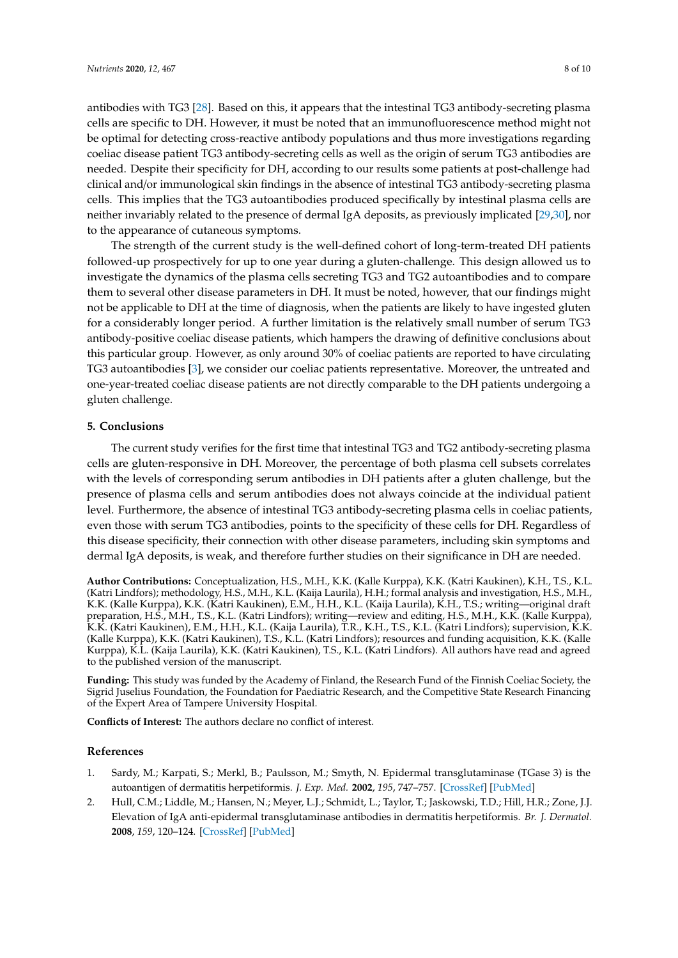antibodies with TG3 [\[28\]](#page-9-6). Based on this, it appears that the intestinal TG3 antibody-secreting plasma cells are specific to DH. However, it must be noted that an immunofluorescence method might not be optimal for detecting cross-reactive antibody populations and thus more investigations regarding coeliac disease patient TG3 antibody-secreting cells as well as the origin of serum TG3 antibodies are needed. Despite their specificity for DH, according to our results some patients at post-challenge had clinical and/or immunological skin findings in the absence of intestinal TG3 antibody-secreting plasma cells. This implies that the TG3 autoantibodies produced specifically by intestinal plasma cells are neither invariably related to the presence of dermal IgA deposits, as previously implicated [\[29](#page-9-7)[,30\]](#page-9-8), nor to the appearance of cutaneous symptoms.

The strength of the current study is the well-defined cohort of long-term-treated DH patients followed-up prospectively for up to one year during a gluten-challenge. This design allowed us to investigate the dynamics of the plasma cells secreting TG3 and TG2 autoantibodies and to compare them to several other disease parameters in DH. It must be noted, however, that our findings might not be applicable to DH at the time of diagnosis, when the patients are likely to have ingested gluten for a considerably longer period. A further limitation is the relatively small number of serum TG3 antibody-positive coeliac disease patients, which hampers the drawing of definitive conclusions about this particular group. However, as only around 30% of coeliac patients are reported to have circulating TG3 autoantibodies [\[3\]](#page-8-0), we consider our coeliac patients representative. Moreover, the untreated and one-year-treated coeliac disease patients are not directly comparable to the DH patients undergoing a gluten challenge.

# **5. Conclusions**

The current study verifies for the first time that intestinal TG3 and TG2 antibody-secreting plasma cells are gluten-responsive in DH. Moreover, the percentage of both plasma cell subsets correlates with the levels of corresponding serum antibodies in DH patients after a gluten challenge, but the presence of plasma cells and serum antibodies does not always coincide at the individual patient level. Furthermore, the absence of intestinal TG3 antibody-secreting plasma cells in coeliac patients, even those with serum TG3 antibodies, points to the specificity of these cells for DH. Regardless of this disease specificity, their connection with other disease parameters, including skin symptoms and dermal IgA deposits, is weak, and therefore further studies on their significance in DH are needed.

**Author Contributions:** Conceptualization, H.S., M.H., K.K. (Kalle Kurppa), K.K. (Katri Kaukinen), K.H., T.S., K.L. (Katri Lindfors); methodology, H.S., M.H., K.L. (Kaija Laurila), H.H.; formal analysis and investigation, H.S., M.H., K.K. (Kalle Kurppa), K.K. (Katri Kaukinen), E.M., H.H., K.L. (Kaija Laurila), K.H., T.S.; writing—original draft preparation, H.S., M.H., T.S., K.L. (Katri Lindfors); writing—review and editing, H.S., M.H., K.K. (Kalle Kurppa), K.K. (Katri Kaukinen), E.M., H.H., K.L. (Kaija Laurila), T.R., K.H., T.S., K.L. (Katri Lindfors); supervision, K.K. (Kalle Kurppa), K.K. (Katri Kaukinen), T.S., K.L. (Katri Lindfors); resources and funding acquisition, K.K. (Kalle Kurppa), K.L. (Kaija Laurila), K.K. (Katri Kaukinen), T.S., K.L. (Katri Lindfors). All authors have read and agreed to the published version of the manuscript.

**Funding:** This study was funded by the Academy of Finland, the Research Fund of the Finnish Coeliac Society, the Sigrid Juselius Foundation, the Foundation for Paediatric Research, and the Competitive State Research Financing of the Expert Area of Tampere University Hospital.

**Conflicts of Interest:** The authors declare no conflict of interest.

#### **References**

- <span id="page-7-0"></span>1. Sardy, M.; Karpati, S.; Merkl, B.; Paulsson, M.; Smyth, N. Epidermal transglutaminase (TGase 3) is the autoantigen of dermatitis herpetiformis. *J. Exp. Med.* **2002**, *195*, 747–757. [\[CrossRef\]](http://dx.doi.org/10.1084/jem.20011299) [\[PubMed\]](http://www.ncbi.nlm.nih.gov/pubmed/11901200)
- <span id="page-7-1"></span>2. Hull, C.M.; Liddle, M.; Hansen, N.; Meyer, L.J.; Schmidt, L.; Taylor, T.; Jaskowski, T.D.; Hill, H.R.; Zone, J.J. Elevation of IgA anti-epidermal transglutaminase antibodies in dermatitis herpetiformis. *Br. J. Dermatol.* **2008**, *159*, 120–124. [\[CrossRef\]](http://dx.doi.org/10.1111/j.1365-2133.2008.08629.x) [\[PubMed\]](http://www.ncbi.nlm.nih.gov/pubmed/18503599)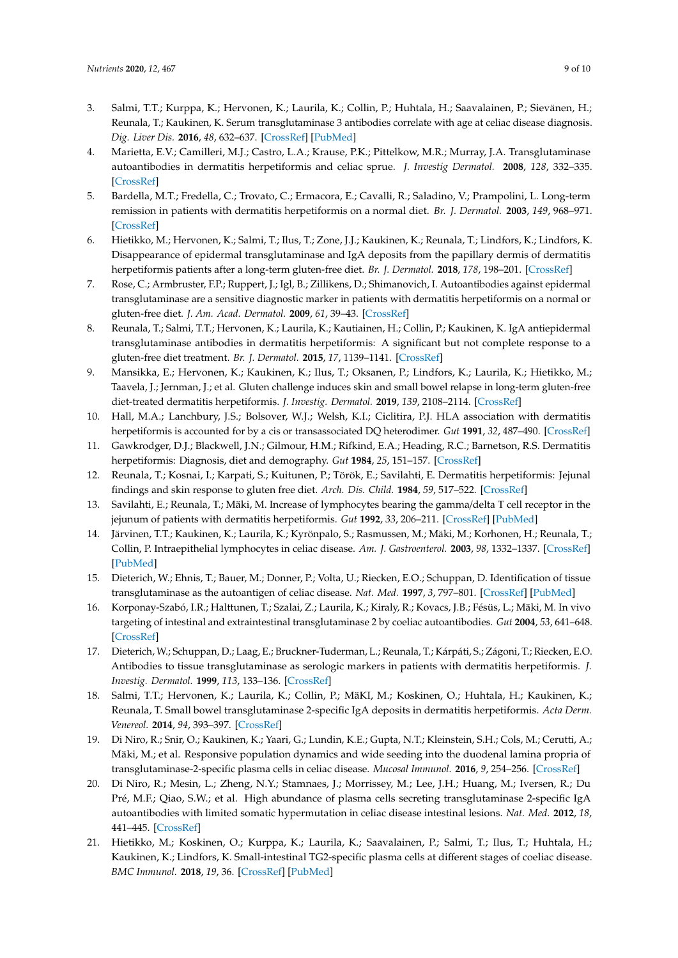- <span id="page-8-0"></span>3. Salmi, T.T.; Kurppa, K.; Hervonen, K.; Laurila, K.; Collin, P.; Huhtala, H.; Saavalainen, P.; Sievänen, H.; Reunala, T.; Kaukinen, K. Serum transglutaminase 3 antibodies correlate with age at celiac disease diagnosis. *Dig. Liver Dis.* **2016**, *48*, 632–637. [\[CrossRef\]](http://dx.doi.org/10.1016/j.dld.2016.03.003) [\[PubMed\]](http://www.ncbi.nlm.nih.gov/pubmed/27026081)
- <span id="page-8-1"></span>4. Marietta, E.V.; Camilleri, M.J.; Castro, L.A.; Krause, P.K.; Pittelkow, M.R.; Murray, J.A. Transglutaminase autoantibodies in dermatitis herpetiformis and celiac sprue. *J. Investig Dermatol.* **2008**, *128*, 332–335. [\[CrossRef\]](http://dx.doi.org/10.1038/sj.jid.5701041)
- <span id="page-8-2"></span>5. Bardella, M.T.; Fredella, C.; Trovato, C.; Ermacora, E.; Cavalli, R.; Saladino, V.; Prampolini, L. Long-term remission in patients with dermatitis herpetiformis on a normal diet. *Br. J. Dermatol.* **2003**, *149*, 968–971. [\[CrossRef\]](http://dx.doi.org/10.1111/j.1365-2133.2003.05579.x)
- 6. Hietikko, M.; Hervonen, K.; Salmi, T.; Ilus, T.; Zone, J.J.; Kaukinen, K.; Reunala, T.; Lindfors, K.; Lindfors, K. Disappearance of epidermal transglutaminase and IgA deposits from the papillary dermis of dermatitis herpetiformis patients after a long-term gluten-free diet. *Br. J. Dermatol.* **2018**, *178*, 198–201. [\[CrossRef\]](http://dx.doi.org/10.1111/bjd.15995)
- 7. Rose, C.; Armbruster, F.P.; Ruppert, J.; Igl, B.; Zillikens, D.; Shimanovich, I. Autoantibodies against epidermal transglutaminase are a sensitive diagnostic marker in patients with dermatitis herpetiformis on a normal or gluten-free diet. *J. Am. Acad. Dermatol.* **2009**, *61*, 39–43. [\[CrossRef\]](http://dx.doi.org/10.1016/j.jaad.2008.12.037)
- 8. Reunala, T.; Salmi, T.T.; Hervonen, K.; Laurila, K.; Kautiainen, H.; Collin, P.; Kaukinen, K. IgA antiepidermal transglutaminase antibodies in dermatitis herpetiformis: A significant but not complete response to a gluten-free diet treatment. *Br. J. Dermatol.* **2015**, *17*, 1139–1141. [\[CrossRef\]](http://dx.doi.org/10.1111/bjd.13387)
- <span id="page-8-3"></span>9. Mansikka, E.; Hervonen, K.; Kaukinen, K.; Ilus, T.; Oksanen, P.; Lindfors, K.; Laurila, K.; Hietikko, M.; Taavela, J.; Jernman, J.; et al. Gluten challenge induces skin and small bowel relapse in long-term gluten-free diet-treated dermatitis herpetiformis. *J. Investig. Dermatol.* **2019**, *139*, 2108–2114. [\[CrossRef\]](http://dx.doi.org/10.1016/j.jid.2019.03.1150)
- <span id="page-8-4"></span>10. Hall, M.A.; Lanchbury, J.S.; Bolsover, W.J.; Welsh, K.I.; Ciclitira, P.J. HLA association with dermatitis herpetiformis is accounted for by a cis or transassociated DQ heterodimer. *Gut* **1991**, *32*, 487–490. [\[CrossRef\]](http://dx.doi.org/10.1136/gut.32.5.487)
- <span id="page-8-5"></span>11. Gawkrodger, D.J.; Blackwell, J.N.; Gilmour, H.M.; Rifkind, E.A.; Heading, R.C.; Barnetson, R.S. Dermatitis herpetiformis: Diagnosis, diet and demography. *Gut* **1984**, *25*, 151–157. [\[CrossRef\]](http://dx.doi.org/10.1136/gut.25.2.151)
- <span id="page-8-6"></span>12. Reunala, T.; Kosnai, I.; Karpati, S.; Kuitunen, P.; Török, E.; Savilahti, E. Dermatitis herpetiformis: Jejunal findings and skin response to gluten free diet. *Arch. Dis. Child.* **1984**, *59*, 517–522. [\[CrossRef\]](http://dx.doi.org/10.1136/adc.59.6.517)
- <span id="page-8-7"></span>13. Savilahti, E.; Reunala, T.; Mäki, M. Increase of lymphocytes bearing the gamma/delta T cell receptor in the jejunum of patients with dermatitis herpetiformis. *Gut* **1992**, *33*, 206–211. [\[CrossRef\]](http://dx.doi.org/10.1136/gut.33.2.206) [\[PubMed\]](http://www.ncbi.nlm.nih.gov/pubmed/1531801)
- <span id="page-8-8"></span>14. Järvinen, T.T.; Kaukinen, K.; Laurila, K.; Kyrönpalo, S.; Rasmussen, M.; Mäki, M.; Korhonen, H.; Reunala, T.; Collin, P. Intraepithelial lymphocytes in celiac disease. *Am. J. Gastroenterol.* **2003**, *98*, 1332–1337. [\[CrossRef\]](http://dx.doi.org/10.1111/j.1572-0241.2003.07456.x) [\[PubMed\]](http://www.ncbi.nlm.nih.gov/pubmed/12818278)
- <span id="page-8-9"></span>15. Dieterich, W.; Ehnis, T.; Bauer, M.; Donner, P.; Volta, U.; Riecken, E.O.; Schuppan, D. Identification of tissue transglutaminase as the autoantigen of celiac disease. *Nat. Med.* **1997**, *3*, 797–801. [\[CrossRef\]](http://dx.doi.org/10.1038/nm0797-797) [\[PubMed\]](http://www.ncbi.nlm.nih.gov/pubmed/9212111)
- <span id="page-8-10"></span>16. Korponay-Szabó, I.R.; Halttunen, T.; Szalai, Z.; Laurila, K.; Kiraly, R.; Kovacs, J.B.; Fésüs, L.; Mäki, M. In vivo targeting of intestinal and extraintestinal transglutaminase 2 by coeliac autoantibodies. *Gut* **2004**, *53*, 641–648. [\[CrossRef\]](http://dx.doi.org/10.1136/gut.2003.024836)
- <span id="page-8-11"></span>17. Dieterich, W.; Schuppan, D.; Laag, E.; Bruckner-Tuderman, L.; Reunala, T.; Kárpáti, S.; Zágoni, T.; Riecken, E.O. Antibodies to tissue transglutaminase as serologic markers in patients with dermatitis herpetiformis. *J. Investig. Dermatol.* **1999**, *113*, 133–136. [\[CrossRef\]](http://dx.doi.org/10.1046/j.1523-1747.1999.00627.x)
- <span id="page-8-12"></span>18. Salmi, T.T.; Hervonen, K.; Laurila, K.; Collin, P.; MäKI, M.; Koskinen, O.; Huhtala, H.; Kaukinen, K.; Reunala, T. Small bowel transglutaminase 2-specific IgA deposits in dermatitis herpetiformis. *Acta Derm. Venereol.* **2014**, *94*, 393–397. [\[CrossRef\]](http://dx.doi.org/10.2340/00015555-1764)
- <span id="page-8-13"></span>19. Di Niro, R.; Snir, O.; Kaukinen, K.; Yaari, G.; Lundin, K.E.; Gupta, N.T.; Kleinstein, S.H.; Cols, M.; Cerutti, A.; Mäki, M.; et al. Responsive population dynamics and wide seeding into the duodenal lamina propria of transglutaminase-2-specific plasma cells in celiac disease. *Mucosal Immunol.* **2016**, *9*, 254–256. [\[CrossRef\]](http://dx.doi.org/10.1038/mi.2015.57)
- 20. Di Niro, R.; Mesin, L.; Zheng, N.Y.; Stamnaes, J.; Morrissey, M.; Lee, J.H.; Huang, M.; Iversen, R.; Du Pré, M.F.; Qiao, S.W.; et al. High abundance of plasma cells secreting transglutaminase 2-specific IgA autoantibodies with limited somatic hypermutation in celiac disease intestinal lesions. *Nat. Med.* **2012**, *18*, 441–445. [\[CrossRef\]](http://dx.doi.org/10.1038/nm.2656)
- <span id="page-8-14"></span>21. Hietikko, M.; Koskinen, O.; Kurppa, K.; Laurila, K.; Saavalainen, P.; Salmi, T.; Ilus, T.; Huhtala, H.; Kaukinen, K.; Lindfors, K. Small-intestinal TG2-specific plasma cells at different stages of coeliac disease. *BMC Immunol.* **2018**, *19*, 36. [\[CrossRef\]](http://dx.doi.org/10.1186/s12865-018-0275-7) [\[PubMed\]](http://www.ncbi.nlm.nih.gov/pubmed/30522434)